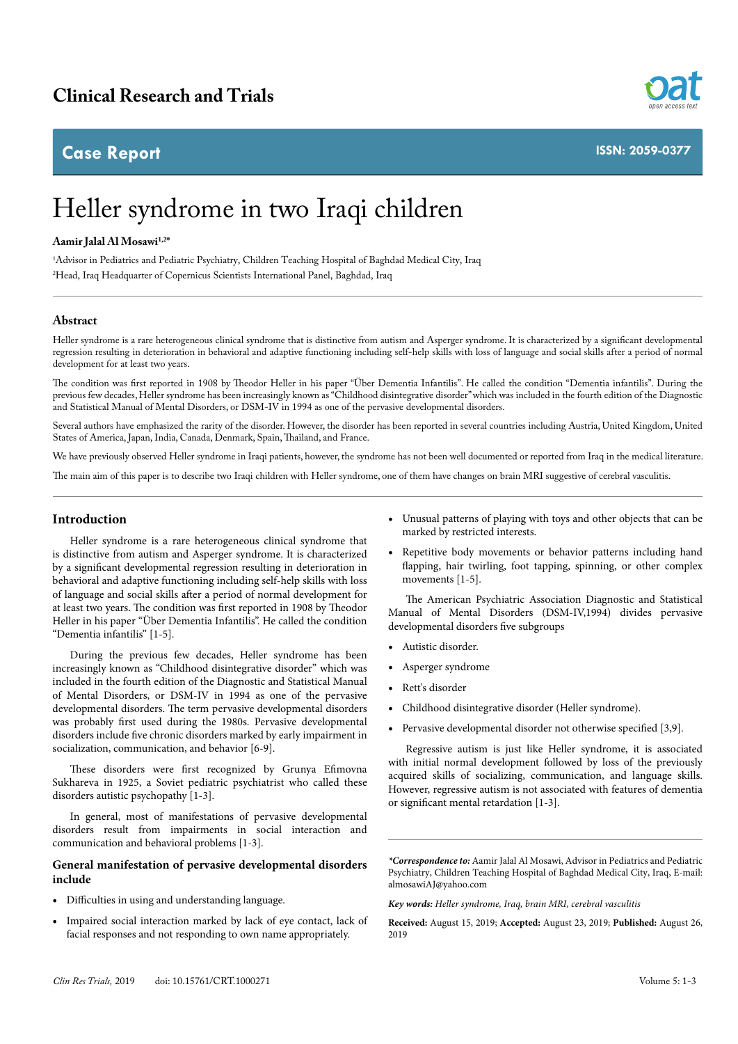# **Case Report**



**ISSN: 2059-0377**

# Heller syndrome in two Iraqi children

# **Aamir Jalal Al Mosawi1,2\***

1 Advisor in Pediatrics and Pediatric Psychiatry, Children Teaching Hospital of Baghdad Medical City, Iraq 2 Head, Iraq Headquarter of Copernicus Scientists International Panel, Baghdad, Iraq

# **Abstract**

Heller syndrome is a rare heterogeneous clinical syndrome that is distinctive from autism and Asperger syndrome. It is characterized by a significant developmental regression resulting in deterioration in behavioral and adaptive functioning including self-help skills with loss of language and social skills after a period of normal development for at least two years.

The condition was first reported in 1908 by Theodor Heller in his paper "Über Dementia Infantilis". He called the condition "Dementia infantilis". During the previous few decades, Heller syndrome has been increasingly known as "Childhood disintegrative disorder" which was included in the fourth edition of the Diagnostic and Statistical Manual of Mental Disorders, or DSM-IV in 1994 as one of the pervasive developmental disorders.

Several authors have emphasized the rarity of the disorder. However, the disorder has been reported in several countries including Austria, United Kingdom, United States of America, Japan, India, Canada, Denmark, Spain, Thailand, and France.

We have previously observed Heller syndrome in Iraqi patients, however, the syndrome has not been well documented or reported from Iraq in the medical literature.

The main aim of this paper is to describe two Iraqi children with Heller syndrome, one of them have changes on brain MRI suggestive of cerebral vasculitis.

#### **Introduction**

Heller syndrome is a rare heterogeneous clinical syndrome that is distinctive from autism and Asperger syndrome. It is characterized by a significant developmental regression resulting in deterioration in behavioral and adaptive functioning including self-help skills with loss of language and social skills after a period of normal development for at least two years. The condition was first reported in 1908 by Theodor Heller in his paper "Über Dementia Infantilis". He called the condition "Dementia infantilis" [1-5].

During the previous few decades, Heller syndrome has been increasingly known as "Childhood disintegrative disorder" which was included in the fourth edition of the Diagnostic and Statistical Manual of Mental Disorders, or DSM-IV in 1994 as one of the pervasive developmental disorders. The term pervasive developmental disorders was probably first used during the 1980s. Pervasive developmental disorders include five chronic disorders marked by early impairment in socialization, communication, and behavior [6-9].

These disorders were first recognized by Grunya Efimovna Sukhareva in 1925, a Soviet pediatric psychiatrist who called these disorders autistic psychopathy [1-3].

In general, most of manifestations of pervasive developmental disorders result from impairments in social interaction and communication and behavioral problems [1-3].

### **General manifestation of pervasive developmental disorders include**

- Difficulties in using and understanding language.
- Impaired social interaction marked by lack of eye contact, lack of facial responses and not responding to own name appropriately.
- Unusual patterns of playing with toys and other objects that can be marked by restricted interests.
- Repetitive body movements or behavior patterns including hand flapping, hair twirling, foot tapping, spinning, or other complex movements [1-5].

The American Psychiatric Association Diagnostic and Statistical Manual of Mental Disorders (DSM-IV,1994) divides pervasive developmental disorders five subgroups

- Autistic disorder.
- Asperger syndrome
- Rett's disorder
- Childhood disintegrative disorder (Heller syndrome).
- Pervasive developmental disorder not otherwise specified [3,9].

Regressive autism is just like Heller syndrome, it is associated with initial normal development followed by loss of the previously acquired skills of socializing, communication, and language skills. However, regressive autism is not associated with features of dementia or significant mental retardation [1-3].

*\*Correspondence to:* Aamir Jalal Al Mosawi, Advisor in Pediatrics and Pediatric Psychiatry, Children Teaching Hospital of Baghdad Medical City, Iraq, E-mail: almosawiAJ@yahoo.com

*Key words: Heller syndrome, Iraq, brain MRI, cerebral vasculitis*

**Received:** August 15, 2019; **Accepted:** August 23, 2019; **Published:** August 26, 2019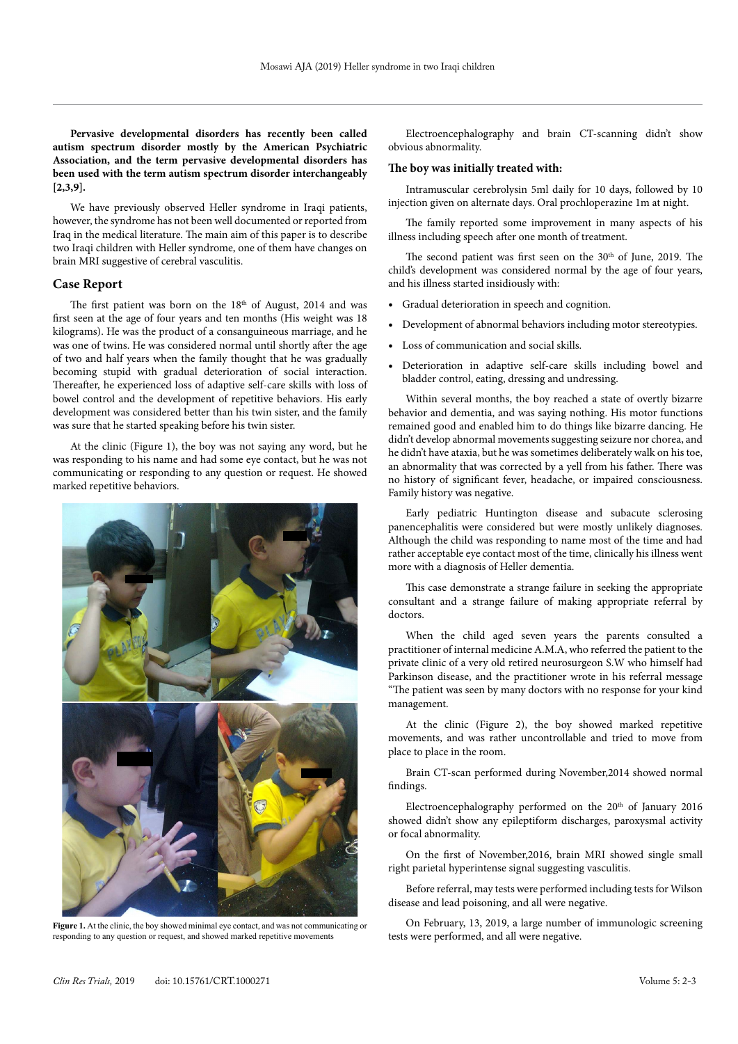**Pervasive developmental disorders has recently been called autism spectrum disorder mostly by the American Psychiatric Association, and the term pervasive developmental disorders has been used with the term autism spectrum disorder interchangeably [2,3,9].**

We have previously observed Heller syndrome in Iraqi patients, however, the syndrome has not been well documented or reported from Iraq in the medical literature. The main aim of this paper is to describe two Iraqi children with Heller syndrome, one of them have changes on brain MRI suggestive of cerebral vasculitis.

# **Case Report**

The first patient was born on the 18<sup>th</sup> of August, 2014 and was first seen at the age of four years and ten months (His weight was 18 kilograms). He was the product of a consanguineous marriage, and he was one of twins. He was considered normal until shortly after the age of two and half years when the family thought that he was gradually becoming stupid with gradual deterioration of social interaction. Thereafter, he experienced loss of adaptive self-care skills with loss of bowel control and the development of repetitive behaviors. His early development was considered better than his twin sister, and the family was sure that he started speaking before his twin sister.

At the clinic (Figure 1), the boy was not saying any word, but he was responding to his name and had some eye contact, but he was not communicating or responding to any question or request. He showed marked repetitive behaviors.



Figure 1. At the clinic, the boy showed minimal eye contact, and was not communicating or responding to any question or request, and showed marked repetitive movements

Electroencephalography and brain CT-scanning didn't show obvious abnormality.

#### **The boy was initially treated with:**

Intramuscular cerebrolysin 5ml daily for 10 days, followed by 10 injection given on alternate days. Oral prochloperazine 1m at night.

The family reported some improvement in many aspects of his illness including speech after one month of treatment.

The second patient was first seen on the 30<sup>th</sup> of June, 2019. The child's development was considered normal by the age of four years, and his illness started insidiously with:

- Gradual deterioration in speech and cognition.
- Development of abnormal behaviors including motor stereotypies.
- Loss of communication and social skills.
- Deterioration in adaptive self-care skills including bowel and bladder control, eating, dressing and undressing.

Within several months, the boy reached a state of overtly bizarre behavior and dementia, and was saying nothing. His motor functions remained good and enabled him to do things like bizarre dancing. He didn't develop abnormal movements suggesting seizure nor chorea, and he didn't have ataxia, but he was sometimes deliberately walk on his toe, an abnormality that was corrected by a yell from his father. There was no history of significant fever, headache, or impaired consciousness. Family history was negative.

Early pediatric Huntington disease and subacute sclerosing panencephalitis were considered but were mostly unlikely diagnoses. Although the child was responding to name most of the time and had rather acceptable eye contact most of the time, clinically his illness went more with a diagnosis of Heller dementia.

This case demonstrate a strange failure in seeking the appropriate consultant and a strange failure of making appropriate referral by doctors.

When the child aged seven years the parents consulted a practitioner of internal medicine A.M.A, who referred the patient to the private clinic of a very old retired neurosurgeon S.W who himself had Parkinson disease, and the practitioner wrote in his referral message "The patient was seen by many doctors with no response for your kind management.

At the clinic (Figure 2), the boy showed marked repetitive movements, and was rather uncontrollable and tried to move from place to place in the room.

Brain CT-scan performed during November,2014 showed normal findings.

Electroencephalography performed on the 20<sup>th</sup> of January 2016 showed didn't show any epileptiform discharges, paroxysmal activity or focal abnormality.

On the first of November,2016, brain MRI showed single small right parietal hyperintense signal suggesting vasculitis.

Before referral, may tests were performed including tests for Wilson disease and lead poisoning, and all were negative.

On February, 13, 2019, a large number of immunologic screening tests were performed, and all were negative.